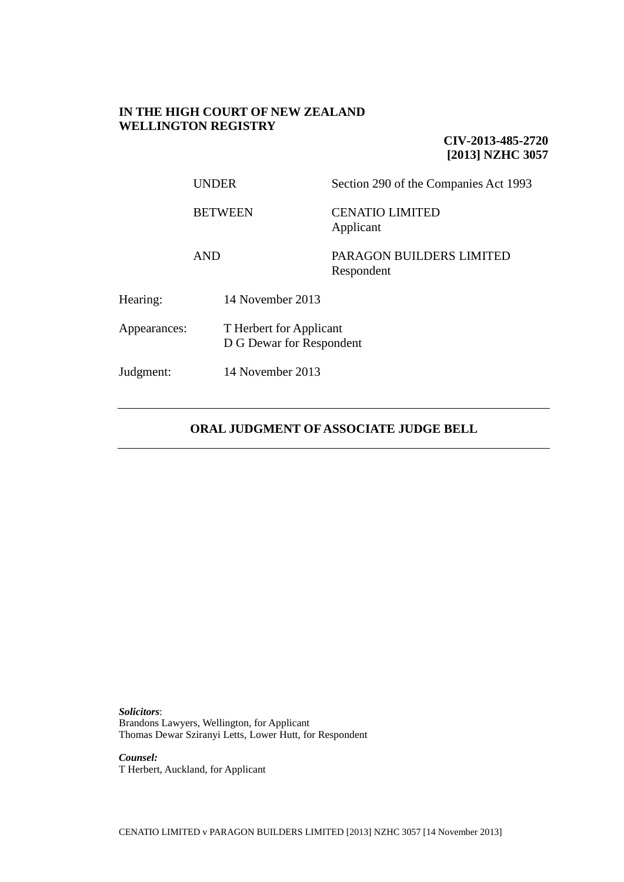## **IN THE HIGH COURT OF NEW ZEALAND WELLINGTON REGISTRY**

**CIV-2013-485-2720 [2013] NZHC 3057**

UNDER Section 290 of the Companies Act 1993 BETWEEN CENATIO LIMITED Applicant AND PARAGON BUILDERS LIMITED Respondent Hearing: 14 November 2013 Appearances: T Herbert for Applicant D G Dewar for Respondent Judgment: 14 November 2013

# **ORAL JUDGMENT OF ASSOCIATE JUDGE BELL**

*Solicitors*: Brandons Lawyers, Wellington, for Applicant Thomas Dewar Sziranyi Letts, Lower Hutt, for Respondent

*Counsel:* T Herbert, Auckland, for Applicant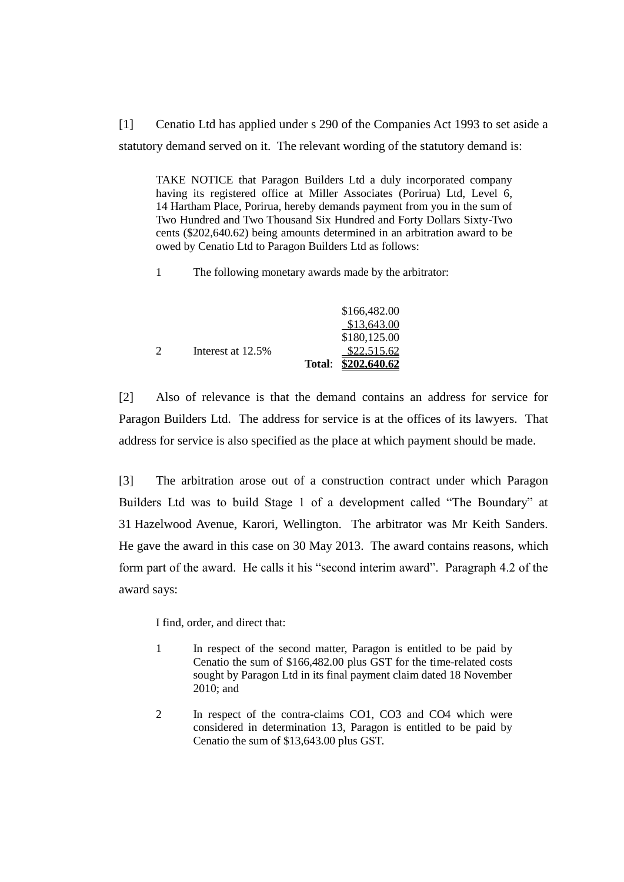[1] Cenatio Ltd has applied under s 290 of the Companies Act 1993 to set aside a statutory demand served on it. The relevant wording of the statutory demand is:

TAKE NOTICE that Paragon Builders Ltd a duly incorporated company having its registered office at Miller Associates (Porirua) Ltd, Level 6, 14 Hartham Place, Porirua, hereby demands payment from you in the sum of Two Hundred and Two Thousand Six Hundred and Forty Dollars Sixty-Two cents (\$202,640.62) being amounts determined in an arbitration award to be owed by Cenatio Ltd to Paragon Builders Ltd as follows:

1 The following monetary awards made by the arbitrator:

|                   | \$166,482.00        |
|-------------------|---------------------|
|                   | \$13,643.00         |
|                   | \$180,125.00        |
| Interest at 12.5% | \$22,515.62         |
|                   | Total: \$202,640.62 |

[2] Also of relevance is that the demand contains an address for service for Paragon Builders Ltd. The address for service is at the offices of its lawyers. That address for service is also specified as the place at which payment should be made.

[3] The arbitration arose out of a construction contract under which Paragon Builders Ltd was to build Stage 1 of a development called "The Boundary" at 31 Hazelwood Avenue, Karori, Wellington. The arbitrator was Mr Keith Sanders. He gave the award in this case on 30 May 2013. The award contains reasons, which form part of the award. He calls it his "second interim award". Paragraph 4.2 of the award says:

I find, order, and direct that:

- 1 In respect of the second matter, Paragon is entitled to be paid by Cenatio the sum of \$166,482.00 plus GST for the time-related costs sought by Paragon Ltd in its final payment claim dated 18 November 2010; and
- 2 In respect of the contra-claims CO1, CO3 and CO4 which were considered in determination 13, Paragon is entitled to be paid by Cenatio the sum of \$13,643.00 plus GST.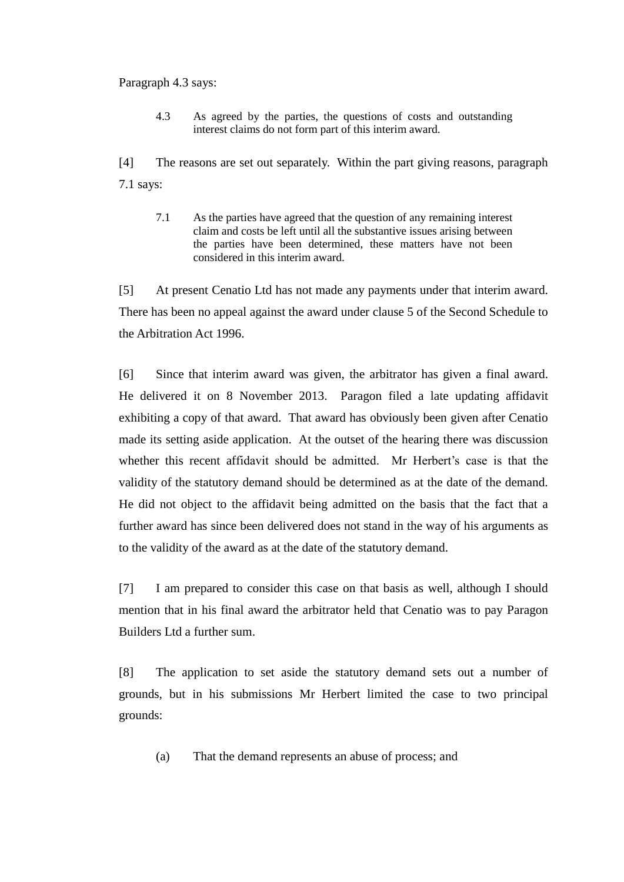### Paragraph 4.3 says:

4.3 As agreed by the parties, the questions of costs and outstanding interest claims do not form part of this interim award.

[4] The reasons are set out separately. Within the part giving reasons, paragraph 7.1 says:

7.1 As the parties have agreed that the question of any remaining interest claim and costs be left until all the substantive issues arising between the parties have been determined, these matters have not been considered in this interim award.

[5] At present Cenatio Ltd has not made any payments under that interim award. There has been no appeal against the award under clause 5 of the Second Schedule to the Arbitration Act 1996.

[6] Since that interim award was given, the arbitrator has given a final award. He delivered it on 8 November 2013. Paragon filed a late updating affidavit exhibiting a copy of that award. That award has obviously been given after Cenatio made its setting aside application. At the outset of the hearing there was discussion whether this recent affidavit should be admitted. Mr Herbert's case is that the validity of the statutory demand should be determined as at the date of the demand. He did not object to the affidavit being admitted on the basis that the fact that a further award has since been delivered does not stand in the way of his arguments as to the validity of the award as at the date of the statutory demand.

[7] I am prepared to consider this case on that basis as well, although I should mention that in his final award the arbitrator held that Cenatio was to pay Paragon Builders Ltd a further sum.

[8] The application to set aside the statutory demand sets out a number of grounds, but in his submissions Mr Herbert limited the case to two principal grounds:

(a) That the demand represents an abuse of process; and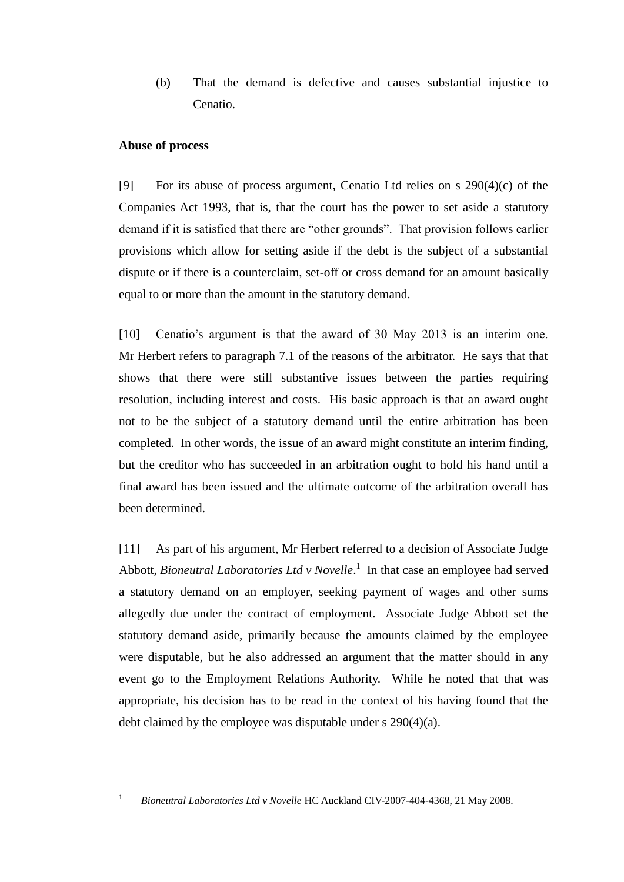(b) That the demand is defective and causes substantial injustice to Cenatio.

## **Abuse of process**

[9] For its abuse of process argument, Cenatio Ltd relies on s 290(4)(c) of the Companies Act 1993, that is, that the court has the power to set aside a statutory demand if it is satisfied that there are "other grounds". That provision follows earlier provisions which allow for setting aside if the debt is the subject of a substantial dispute or if there is a counterclaim, set-off or cross demand for an amount basically equal to or more than the amount in the statutory demand.

[10] Cenatio's argument is that the award of 30 May 2013 is an interim one. Mr Herbert refers to paragraph 7.1 of the reasons of the arbitrator. He says that that shows that there were still substantive issues between the parties requiring resolution, including interest and costs. His basic approach is that an award ought not to be the subject of a statutory demand until the entire arbitration has been completed. In other words, the issue of an award might constitute an interim finding, but the creditor who has succeeded in an arbitration ought to hold his hand until a final award has been issued and the ultimate outcome of the arbitration overall has been determined.

[11] As part of his argument, Mr Herbert referred to a decision of Associate Judge Abbott, *Bioneutral Laboratories Ltd v Novelle*. 1 In that case an employee had served a statutory demand on an employer, seeking payment of wages and other sums allegedly due under the contract of employment. Associate Judge Abbott set the statutory demand aside, primarily because the amounts claimed by the employee were disputable, but he also addressed an argument that the matter should in any event go to the Employment Relations Authority. While he noted that that was appropriate, his decision has to be read in the context of his having found that the debt claimed by the employee was disputable under s 290(4)(a).

 $\overline{1}$ 

<sup>1</sup> *Bioneutral Laboratories Ltd v Novelle* HC Auckland CIV-2007-404-4368, 21 May 2008.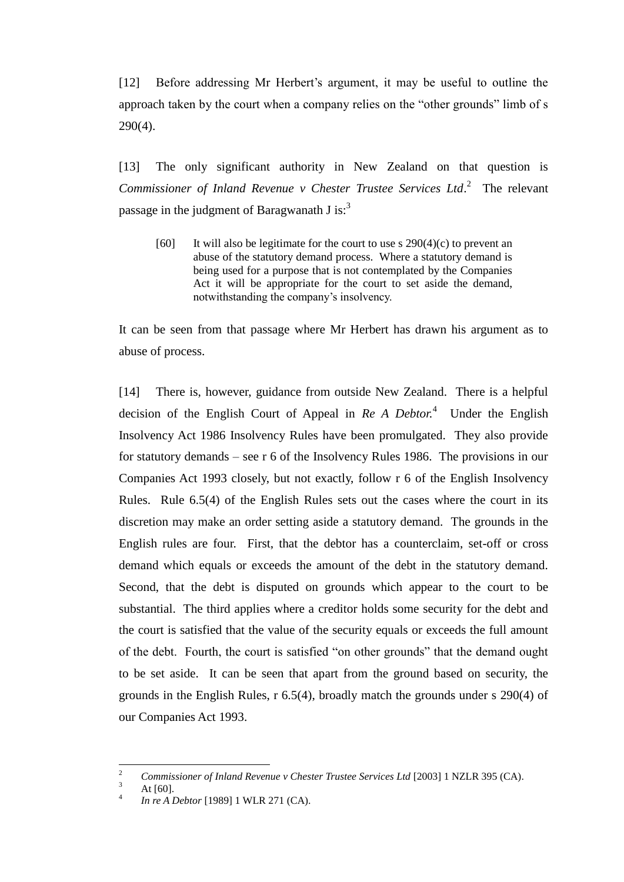[12] Before addressing Mr Herbert's argument, it may be useful to outline the approach taken by the court when a company relies on the "other grounds" limb of s 290(4).

[13] The only significant authority in New Zealand on that question is Commissioner of Inland Revenue v Chester Trustee Services Ltd.<sup>2</sup> The relevant passage in the judgment of Baragwanath J is: $3<sup>3</sup>$ 

[60] It will also be legitimate for the court to use s  $290(4)(c)$  to prevent an abuse of the statutory demand process. Where a statutory demand is being used for a purpose that is not contemplated by the Companies Act it will be appropriate for the court to set aside the demand, notwithstanding the company's insolvency.

It can be seen from that passage where Mr Herbert has drawn his argument as to abuse of process.

[14] There is, however, guidance from outside New Zealand. There is a helpful decision of the English Court of Appeal in *Re A Debtor.*<sup>4</sup> Under the English Insolvency Act 1986 Insolvency Rules have been promulgated. They also provide for statutory demands – see r 6 of the Insolvency Rules 1986. The provisions in our Companies Act 1993 closely, but not exactly, follow r 6 of the English Insolvency Rules. Rule 6.5(4) of the English Rules sets out the cases where the court in its discretion may make an order setting aside a statutory demand. The grounds in the English rules are four. First, that the debtor has a counterclaim, set-off or cross demand which equals or exceeds the amount of the debt in the statutory demand. Second, that the debt is disputed on grounds which appear to the court to be substantial. The third applies where a creditor holds some security for the debt and the court is satisfied that the value of the security equals or exceeds the full amount of the debt. Fourth, the court is satisfied "on other grounds" that the demand ought to be set aside. It can be seen that apart from the ground based on security, the grounds in the English Rules, r 6.5(4), broadly match the grounds under s 290(4) of our Companies Act 1993.

 $\sqrt{2}$ <sup>2</sup> *Commissioner of Inland Revenue v Chester Trustee Services Ltd* [2003] 1 NZLR 395 (CA).

At  $[60]$ .

<sup>4</sup> *In re A Debtor* [1989] 1 WLR 271 (CA).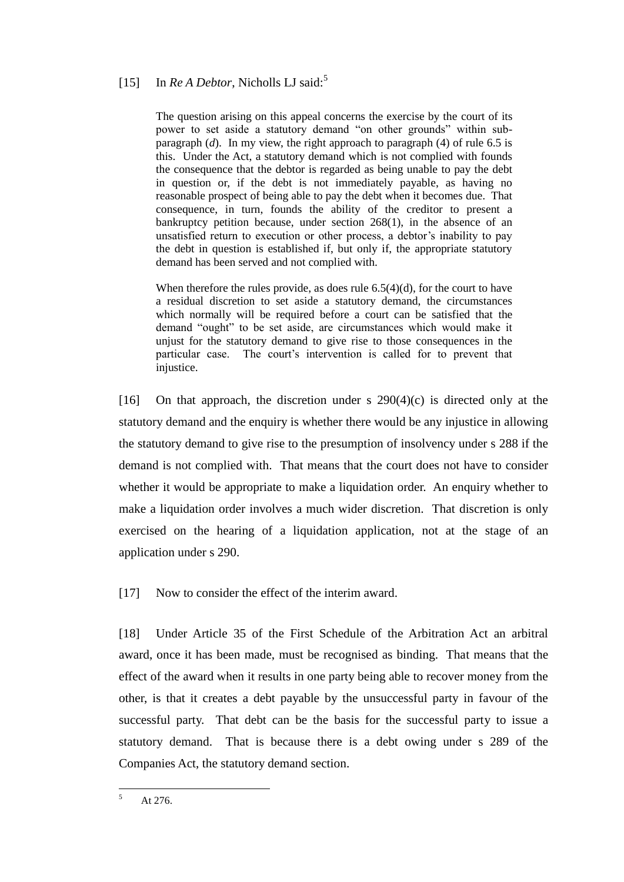# [15] In *Re A Debtor*, Nicholls LJ said:<sup>5</sup>

The question arising on this appeal concerns the exercise by the court of its power to set aside a statutory demand "on other grounds" within subparagraph (*d*). In my view, the right approach to paragraph (4) of rule 6.5 is this. Under the Act, a statutory demand which is not complied with founds the consequence that the debtor is regarded as being unable to pay the debt in question or, if the debt is not immediately payable, as having no reasonable prospect of being able to pay the debt when it becomes due. That consequence, in turn, founds the ability of the creditor to present a bankruptcy petition because, under section 268(1), in the absence of an unsatisfied return to execution or other process, a debtor's inability to pay the debt in question is established if, but only if, the appropriate statutory demand has been served and not complied with.

When therefore the rules provide, as does rule 6.5(4)(d), for the court to have a residual discretion to set aside a statutory demand, the circumstances which normally will be required before a court can be satisfied that the demand "ought" to be set aside, are circumstances which would make it unjust for the statutory demand to give rise to those consequences in the particular case. The court's intervention is called for to prevent that injustice.

[16] On that approach, the discretion under s  $290(4)(c)$  is directed only at the statutory demand and the enquiry is whether there would be any injustice in allowing the statutory demand to give rise to the presumption of insolvency under s 288 if the demand is not complied with. That means that the court does not have to consider whether it would be appropriate to make a liquidation order. An enquiry whether to make a liquidation order involves a much wider discretion. That discretion is only exercised on the hearing of a liquidation application, not at the stage of an application under s 290.

[17] Now to consider the effect of the interim award.

[18] Under Article 35 of the First Schedule of the Arbitration Act an arbitral award, once it has been made, must be recognised as binding. That means that the effect of the award when it results in one party being able to recover money from the other, is that it creates a debt payable by the unsuccessful party in favour of the successful party. That debt can be the basis for the successful party to issue a statutory demand. That is because there is a debt owing under s 289 of the Companies Act, the statutory demand section.

 $\overline{5}$ At 276.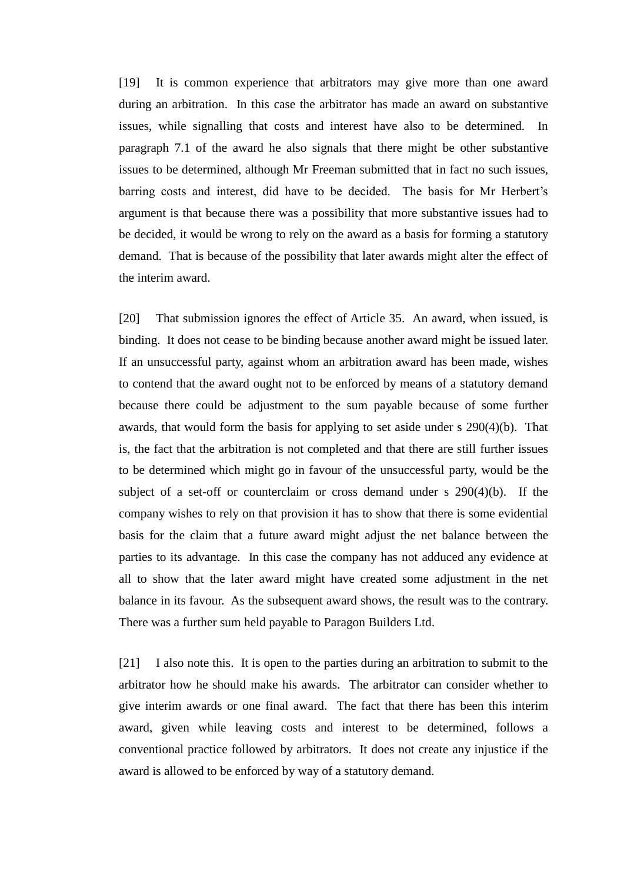[19] It is common experience that arbitrators may give more than one award during an arbitration. In this case the arbitrator has made an award on substantive issues, while signalling that costs and interest have also to be determined. In paragraph 7.1 of the award he also signals that there might be other substantive issues to be determined, although Mr Freeman submitted that in fact no such issues, barring costs and interest, did have to be decided. The basis for Mr Herbert's argument is that because there was a possibility that more substantive issues had to be decided, it would be wrong to rely on the award as a basis for forming a statutory demand. That is because of the possibility that later awards might alter the effect of the interim award.

[20] That submission ignores the effect of Article 35. An award, when issued, is binding. It does not cease to be binding because another award might be issued later. If an unsuccessful party, against whom an arbitration award has been made, wishes to contend that the award ought not to be enforced by means of a statutory demand because there could be adjustment to the sum payable because of some further awards, that would form the basis for applying to set aside under s 290(4)(b). That is, the fact that the arbitration is not completed and that there are still further issues to be determined which might go in favour of the unsuccessful party, would be the subject of a set-off or counterclaim or cross demand under s 290(4)(b). If the company wishes to rely on that provision it has to show that there is some evidential basis for the claim that a future award might adjust the net balance between the parties to its advantage. In this case the company has not adduced any evidence at all to show that the later award might have created some adjustment in the net balance in its favour. As the subsequent award shows, the result was to the contrary. There was a further sum held payable to Paragon Builders Ltd.

[21] I also note this. It is open to the parties during an arbitration to submit to the arbitrator how he should make his awards. The arbitrator can consider whether to give interim awards or one final award. The fact that there has been this interim award, given while leaving costs and interest to be determined, follows a conventional practice followed by arbitrators. It does not create any injustice if the award is allowed to be enforced by way of a statutory demand.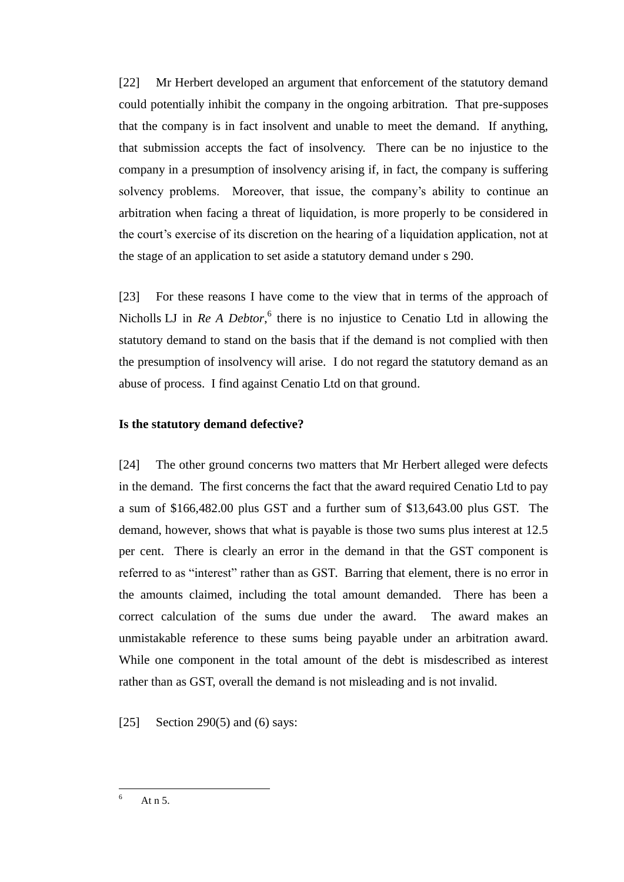[22] Mr Herbert developed an argument that enforcement of the statutory demand could potentially inhibit the company in the ongoing arbitration. That pre-supposes that the company is in fact insolvent and unable to meet the demand. If anything, that submission accepts the fact of insolvency. There can be no injustice to the company in a presumption of insolvency arising if, in fact, the company is suffering solvency problems. Moreover, that issue, the company's ability to continue an arbitration when facing a threat of liquidation, is more properly to be considered in the court's exercise of its discretion on the hearing of a liquidation application, not at the stage of an application to set aside a statutory demand under s 290.

[23] For these reasons I have come to the view that in terms of the approach of Nicholls LJ in *Re A Debtor*,<sup>6</sup> there is no injustice to Cenatio Ltd in allowing the statutory demand to stand on the basis that if the demand is not complied with then the presumption of insolvency will arise. I do not regard the statutory demand as an abuse of process. I find against Cenatio Ltd on that ground.

### **Is the statutory demand defective?**

[24] The other ground concerns two matters that Mr Herbert alleged were defects in the demand. The first concerns the fact that the award required Cenatio Ltd to pay a sum of \$166,482.00 plus GST and a further sum of \$13,643.00 plus GST. The demand, however, shows that what is payable is those two sums plus interest at 12.5 per cent. There is clearly an error in the demand in that the GST component is referred to as "interest" rather than as GST. Barring that element, there is no error in the amounts claimed, including the total amount demanded. There has been a correct calculation of the sums due under the award. The award makes an unmistakable reference to these sums being payable under an arbitration award. While one component in the total amount of the debt is misdescribed as interest rather than as GST, overall the demand is not misleading and is not invalid.

[25] Section 290(5) and (6) says:

 $\overline{a}$ 

At  $n$  5.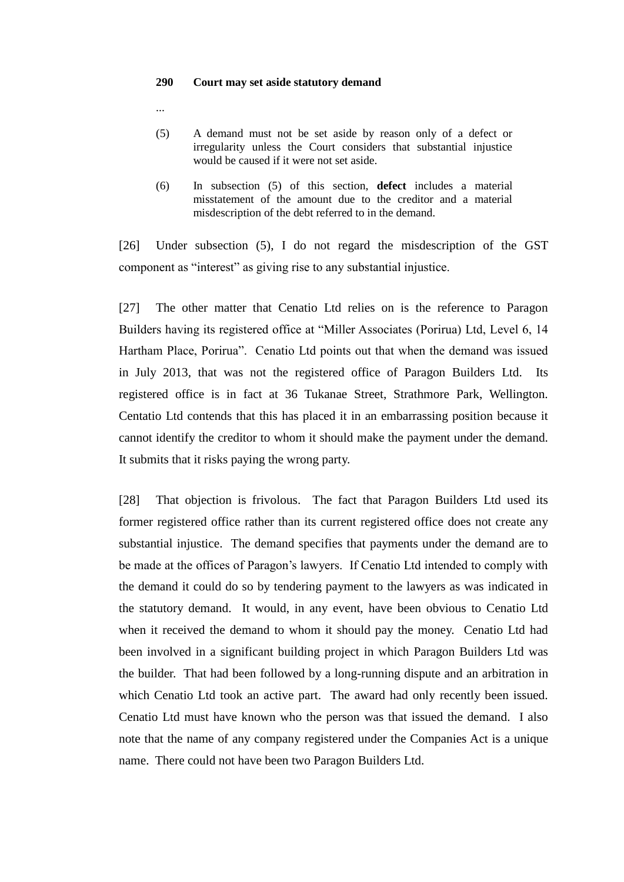#### **290 Court may set aside statutory demand**

...

- (5) A demand must not be set aside by reason only of a defect or irregularity unless the Court considers that substantial injustice would be caused if it were not set aside.
- (6) In subsection (5) of this section, **defect** includes a material misstatement of the amount due to the creditor and a material misdescription of the debt referred to in the demand.

[26] Under subsection (5), I do not regard the misdescription of the GST component as "interest" as giving rise to any substantial injustice.

[27] The other matter that Cenatio Ltd relies on is the reference to Paragon Builders having its registered office at "Miller Associates (Porirua) Ltd, Level 6, 14 Hartham Place, Porirua". Cenatio Ltd points out that when the demand was issued in July 2013, that was not the registered office of Paragon Builders Ltd. Its registered office is in fact at 36 Tukanae Street, Strathmore Park, Wellington. Centatio Ltd contends that this has placed it in an embarrassing position because it cannot identify the creditor to whom it should make the payment under the demand. It submits that it risks paying the wrong party.

[28] That objection is frivolous. The fact that Paragon Builders Ltd used its former registered office rather than its current registered office does not create any substantial injustice. The demand specifies that payments under the demand are to be made at the offices of Paragon's lawyers. If Cenatio Ltd intended to comply with the demand it could do so by tendering payment to the lawyers as was indicated in the statutory demand. It would, in any event, have been obvious to Cenatio Ltd when it received the demand to whom it should pay the money. Cenatio Ltd had been involved in a significant building project in which Paragon Builders Ltd was the builder. That had been followed by a long-running dispute and an arbitration in which Cenatio Ltd took an active part. The award had only recently been issued. Cenatio Ltd must have known who the person was that issued the demand. I also note that the name of any company registered under the Companies Act is a unique name. There could not have been two Paragon Builders Ltd.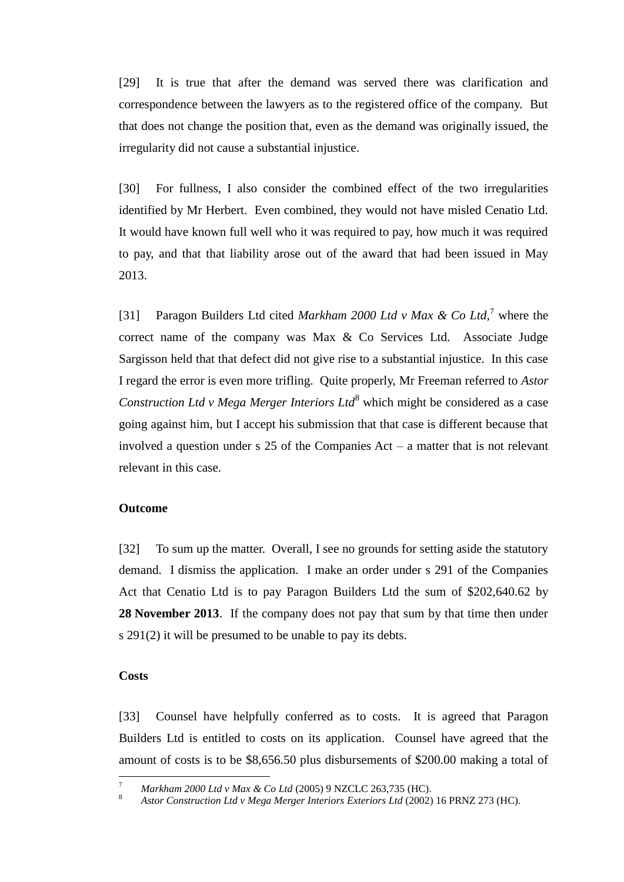[29] It is true that after the demand was served there was clarification and correspondence between the lawyers as to the registered office of the company. But that does not change the position that, even as the demand was originally issued, the irregularity did not cause a substantial injustice.

[30] For fullness, I also consider the combined effect of the two irregularities identified by Mr Herbert. Even combined, they would not have misled Cenatio Ltd. It would have known full well who it was required to pay, how much it was required to pay, and that that liability arose out of the award that had been issued in May 2013.

[31] Paragon Builders Ltd cited *Markham 2000 Ltd v Max & Co Ltd*,<sup>7</sup> where the correct name of the company was Max & Co Services Ltd. Associate Judge Sargisson held that that defect did not give rise to a substantial injustice. In this case I regard the error is even more trifling. Quite properly, Mr Freeman referred to *Astor Construction Ltd v Mega Merger Interiors Ltd*<sup>8</sup> which might be considered as a case going against him, but I accept his submission that that case is different because that involved a question under s 25 of the Companies Act – a matter that is not relevant relevant in this case.

#### **Outcome**

[32] To sum up the matter. Overall, I see no grounds for setting aside the statutory demand. I dismiss the application. I make an order under s 291 of the Companies Act that Cenatio Ltd is to pay Paragon Builders Ltd the sum of \$202,640.62 by **28 November 2013**. If the company does not pay that sum by that time then under s 291(2) it will be presumed to be unable to pay its debts.

#### **Costs**

 $\overline{a}$ 

[33] Counsel have helpfully conferred as to costs. It is agreed that Paragon Builders Ltd is entitled to costs on its application. Counsel have agreed that the amount of costs is to be \$8,656.50 plus disbursements of \$200.00 making a total of

<sup>7</sup> *Markham 2000 Ltd v Max & Co Ltd* (2005) 9 NZCLC 263,735 (HC).

<sup>8</sup> *Astor Construction Ltd v Mega Merger Interiors Exteriors Ltd* (2002) 16 PRNZ 273 (HC).